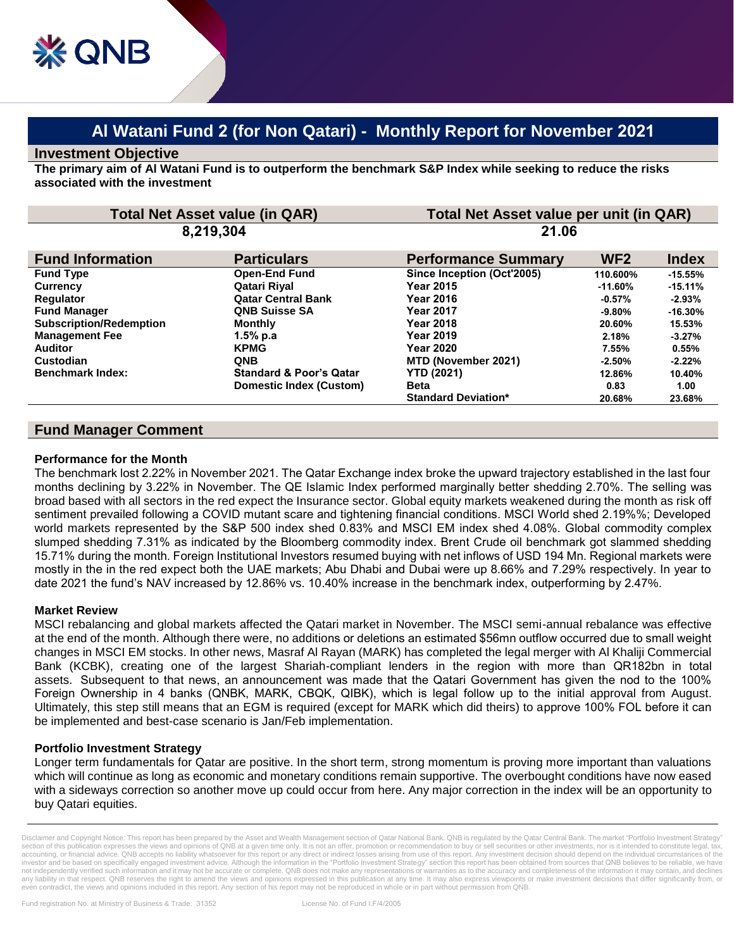# **Al Watani Fund 2 (for Non Qatari) - Monthly Report for November 2021**

## **Investment Objective**

**The primary aim of Al Watani Fund is to outperform the benchmark S&P Index while seeking to reduce the risks associated with the investment**

| <b>Total Net Asset value (in QAR)</b><br>8,219,304 |                                    | Total Net Asset value per unit (in QAR)<br>21.06 |            |           |
|----------------------------------------------------|------------------------------------|--------------------------------------------------|------------|-----------|
|                                                    |                                    |                                                  |            |           |
| <b>Fund Type</b>                                   | <b>Open-End Fund</b>               | Since Inception (Oct'2005)                       | 110.600%   | $-15.55%$ |
| <b>Currency</b>                                    | Qatari Riyal                       | <b>Year 2015</b>                                 | $-11.60\%$ | $-15.11%$ |
| <b>Regulator</b>                                   | <b>Qatar Central Bank</b>          | <b>Year 2016</b>                                 | $-0.57\%$  | $-2.93%$  |
| <b>Fund Manager</b>                                | <b>QNB Suisse SA</b>               | <b>Year 2017</b>                                 | $-9.80\%$  | $-16.30%$ |
| <b>Subscription/Redemption</b>                     | <b>Monthly</b>                     | <b>Year 2018</b>                                 | 20.60%     | 15.53%    |
| <b>Management Fee</b>                              | $1.5%$ p.a                         | <b>Year 2019</b>                                 | 2.18%      | $-3.27%$  |
| <b>Auditor</b>                                     | <b>KPMG</b>                        | <b>Year 2020</b>                                 | 7.55%      | 0.55%     |
| Custodian                                          | <b>QNB</b>                         | MTD (November 2021)                              | $-2.50%$   | $-2.22%$  |
| <b>Benchmark Index:</b>                            | <b>Standard &amp; Poor's Qatar</b> | <b>YTD (2021)</b>                                | 12.86%     | 10.40%    |
|                                                    | Domestic Index (Custom)            | <b>Beta</b>                                      | 0.83       | 1.00      |
|                                                    |                                    | <b>Standard Deviation*</b>                       | 20.68%     | 23.68%    |

## **Fund Manager Comment**

#### **Performance for the Month**

The benchmark lost 2.22% in November 2021. The Qatar Exchange index broke the upward trajectory established in the last four months declining by 3.22% in November. The QE Islamic Index performed marginally better shedding 2.70%. The selling was broad based with all sectors in the red expect the Insurance sector. Global equity markets weakened during the month as risk off sentiment prevailed following a COVID mutant scare and tightening financial conditions. MSCI World shed 2.19%%; Developed world markets represented by the S&P 500 index shed 0.83% and MSCI EM index shed 4.08%. Global commodity complex slumped shedding 7.31% as indicated by the Bloomberg commodity index. Brent Crude oil benchmark got slammed shedding 15.71% during the month. Foreign Institutional Investors resumed buying with net inflows of USD 194 Mn. Regional markets were mostly in the in the red expect both the UAE markets; Abu Dhabi and Dubai were up 8.66% and 7.29% respectively. In year to date 2021 the fund's NAV increased by 12.86% vs. 10.40% increase in the benchmark index, outperforming by 2.47%.

## **Market Review**

MSCI rebalancing and global markets affected the Qatari market in November. The MSCI semi-annual rebalance was effective at the end of the month. Although there were, no additions or deletions an estimated \$56mn outflow occurred due to small weight changes in MSCI EM stocks. In other news, Masraf Al Rayan (MARK) has completed the legal merger with Al Khaliji Commercial Bank (KCBK), creating one of the largest Shariah-compliant lenders in the region with more than QR182bn in total assets. Subsequent to that news, an announcement was made that the Qatari Government has given the nod to the 100% Foreign Ownership in 4 banks (QNBK, MARK, CBQK, QIBK), which is legal follow up to the [initial approval from August.](https://www.qatar-tribune.com/news-details/id/218669/cabinet-approves-100-foreign-ownership-of-major-qatari-banks) Ultimately, this step still means that an EGM is required (except for MARK which did theirs) to approve 100% FOL before it can be implemented and best-case scenario is Jan/Feb implementation.

## **Portfolio Investment Strategy**

Longer term fundamentals for Qatar are positive. In the short term, strong momentum is proving more important than valuations which will continue as long as economic and monetary conditions remain supportive. The overbought conditions have now eased with a sideways correction so another move up could occur from here. Any major correction in the index will be an opportunity to buy Qatari equities.

Disclaimer and Copyright Notice: This report has been prepared by the Asset and Wealth Management section of Qatar National Bank. QNB is regulated by the Qatar Central Bank. The market "Portfolio Investment Strategy section of this publication expresses the views and opinions of QNB at a given time only. It is not an offer, promotion or recommendation to buy or sell securities or other investments, nor is it intended to constitute leg accounting, or financial advice. QNB accepts no liability whatsoever for this report or any direct or indirect losses arising from use of this report. Any investment decision should depend on the individual circumstances o investor and be based on specifically engaged investment advice. Although the information in the "Portfolio Investment Strategy" section this report has been obtained from sources that QNB believes to be reliable, we have not independently verified such information and it may not be accurate or complete. QNB does not make any representations or warranties as to the accuracy and completeness of the information it may contain, and declines<br>an even contradict, the views and opinions included in this report. Any section of his report may not be reproduced in whole or in part without permission from QNB.